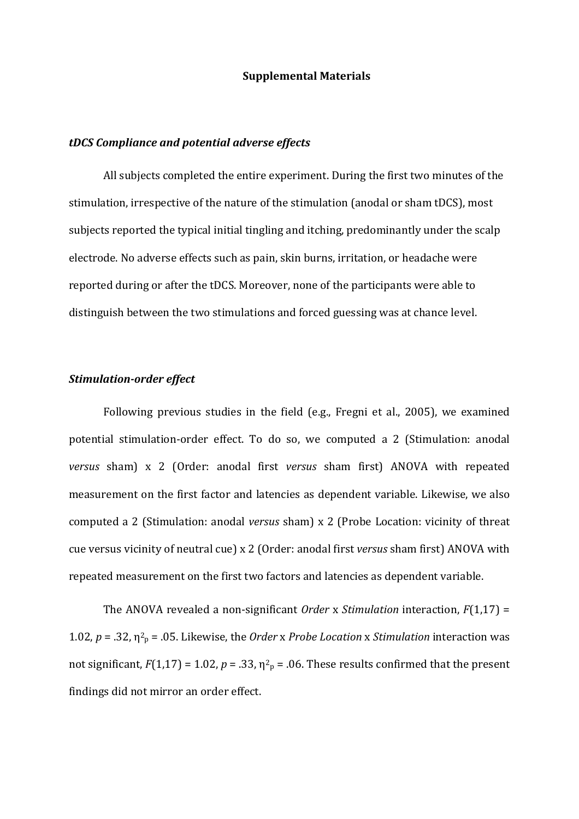#### **Supplemental Materials**

#### *tDCS Compliance and potential adverse effects*

All subjects completed the entire experiment. During the first two minutes of the stimulation, irrespective of the nature of the stimulation (anodal or sham tDCS), most subjects reported the typical initial tingling and itching, predominantly under the scalp electrode. No adverse effects such as pain, skin burns, irritation, or headache were reported during or after the tDCS. Moreover, none of the participants were able to distinguish between the two stimulations and forced guessing was at chance level.

## *Stimulation-order effect*

Following previous studies in the field (e.g., Fregni et al., 2005), we examined potential stimulation-order effect. To do so, we computed a 2 (Stimulation: anodal *versus* sham) x 2 (Order: anodal first *versus* sham first) ANOVA with repeated measurement on the first factor and latencies as dependent variable. Likewise, we also computed a 2 (Stimulation: anodal *versus* sham) x 2 (Probe Location: vicinity of threat cue versus vicinity of neutral cue) x 2 (Order: anodal first *versus* sham first) ANOVA with repeated measurement on the first two factors and latencies as dependent variable.

The ANOVA revealed a non-significant *Order* x *Stimulation* interaction,  $F(1,17) =$ 1.02,  $p = 0.32$ ,  $\eta^2$ <sub>p</sub> = .05. Likewise, the *Order* x *Probe Location* x *Stimulation* interaction was not significant,  $F(1,17) = 1.02$ ,  $p = .33$ ,  $\eta^2$ <sub>p</sub> = .06. These results confirmed that the present findings did not mirror an order effect.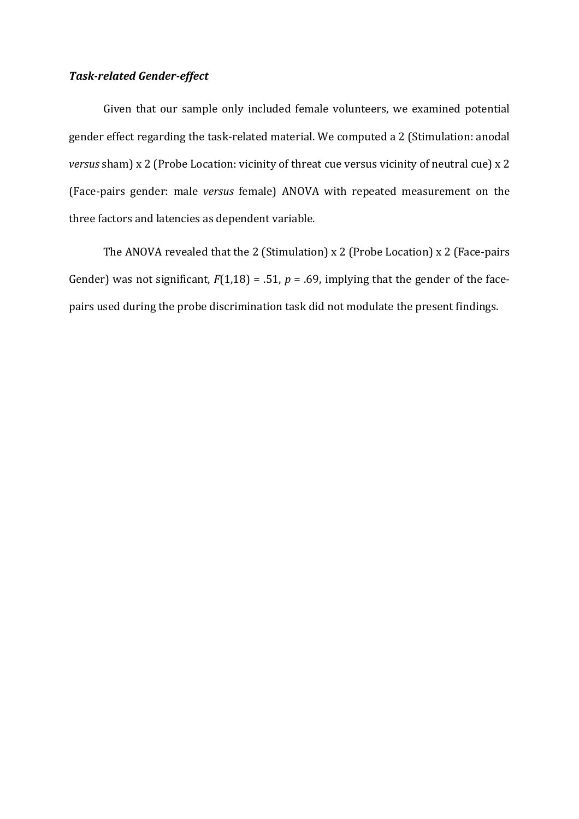## *Task-related Gender-effect*

Given that our sample only included female volunteers, we examined potential gender effect regarding the task-related material. We computed a 2 (Stimulation: anodal *versus* sham) x 2 (Probe Location: vicinity of threat cue versus vicinity of neutral cue) x 2 (Face-pairs gender: male *versus* female) ANOVA with repeated measurement on the three factors and latencies as dependent variable.

The ANOVA revealed that the 2 (Stimulation)  $x$  2 (Probe Location)  $x$  2 (Face-pairs Gender) was not significant,  $F(1,18) = .51$ ,  $p = .69$ , implying that the gender of the facepairs used during the probe discrimination task did not modulate the present findings.